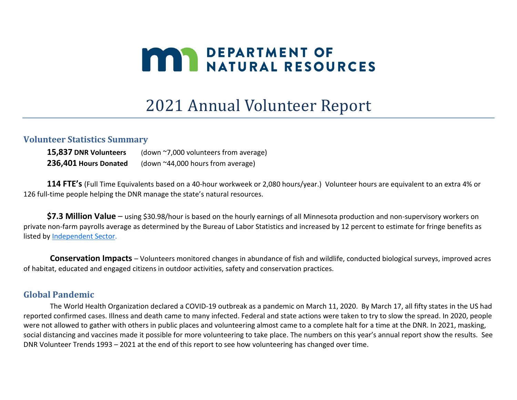# **MAY DEPARTMENT OF NATURAL RESOURCES**

## 2021 Annual Volunteer Report

#### **Volunteer Statistics Summary**

| 15,837 DNR Volunteers | (down ~7,000 volunteers from average) |
|-----------------------|---------------------------------------|
| 236,401 Hours Donated | (down ~44,000 hours from average)     |

**114 FTE's** (Full Time Equivalents based on a 40-hour workweek or 2,080 hours/year.) Volunteer hours are equivalent to an extra 4% or 126 full-time people helping the DNR manage the state's natural resources.

**\$7.3 Million Value** – using \$30.98/hour is based on the hourly earnings of all Minnesota production and non-supervisory workers on private non-farm payrolls average as determined by the Bureau of Labor Statistics and increased by 12 percent to estimate for fringe benefits as listed b[y Independent Sector.](http://www.independentsector.org/volunteer_time)

**Conservation Impacts** – Volunteers monitored changes in abundance of fish and wildlife, conducted biological surveys, improved acres of habitat, educated and engaged citizens in outdoor activities, safety and conservation practices.

#### **Global Pandemic**

The World Health Organization declared a COVID-19 outbreak as a pandemic on March 11, 2020. By March 17, all fifty states in the US had reported confirmed cases. Illness and death came to many infected. Federal and state actions were taken to try to slow the spread. In 2020, people were not allowed to gather with others in public places and volunteering almost came to a complete halt for a time at the DNR. In 2021, masking, social distancing and vaccines made it possible for more volunteering to take place. The numbers on this year's annual report show the results. See DNR Volunteer Trends 1993 – 2021 at the end of this report to see how volunteering has changed over time.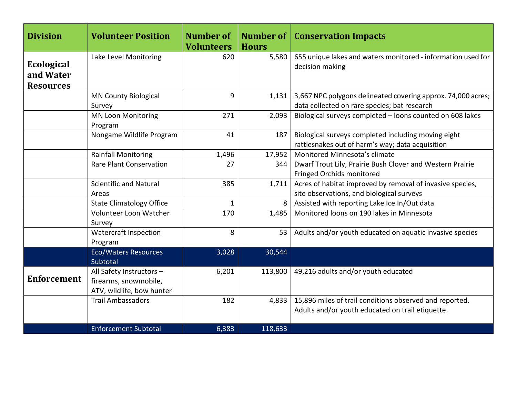| <b>Division</b>                                    | <b>Volunteer Position</b>                                                      | <b>Number of</b><br><b>Volunteers</b> | <b>Number of</b><br><b>Hours</b> | <b>Conservation Impacts</b>                                                                                  |
|----------------------------------------------------|--------------------------------------------------------------------------------|---------------------------------------|----------------------------------|--------------------------------------------------------------------------------------------------------------|
| <b>Ecological</b><br>and Water<br><b>Resources</b> | Lake Level Monitoring                                                          | 620                                   | 5,580                            | 655 unique lakes and waters monitored - information used for<br>decision making                              |
|                                                    | <b>MN County Biological</b><br>Survey                                          | 9                                     | 1,131                            | 3,667 NPC polygons delineated covering approx. 74,000 acres;<br>data collected on rare species; bat research |
|                                                    | <b>MN Loon Monitoring</b><br>Program                                           | 271                                   | 2,093                            | Biological surveys completed - loons counted on 608 lakes                                                    |
|                                                    | Nongame Wildlife Program                                                       | 41                                    | 187                              | Biological surveys completed including moving eight<br>rattlesnakes out of harm's way; data acquisition      |
|                                                    | <b>Rainfall Monitoring</b>                                                     | 1,496                                 | 17,952                           | Monitored Minnesota's climate                                                                                |
|                                                    | <b>Rare Plant Conservation</b>                                                 | 27                                    | 344                              | Dwarf Trout Lily, Prairie Bush Clover and Western Prairie<br>Fringed Orchids monitored                       |
|                                                    | <b>Scientific and Natural</b><br>Areas                                         | 385                                   | 1,711                            | Acres of habitat improved by removal of invasive species,<br>site observations, and biological surveys       |
|                                                    | <b>State Climatology Office</b>                                                | $\mathbf{1}$                          | 8                                | Assisted with reporting Lake Ice In/Out data                                                                 |
|                                                    | Volunteer Loon Watcher<br>Survey                                               | 170                                   | 1,485                            | Monitored loons on 190 lakes in Minnesota                                                                    |
|                                                    | <b>Watercraft Inspection</b><br>Program                                        | 8                                     | 53                               | Adults and/or youth educated on aquatic invasive species                                                     |
|                                                    | <b>Eco/Waters Resources</b><br>Subtotal                                        | 3,028                                 | 30,544                           |                                                                                                              |
| <b>Enforcement</b>                                 | All Safety Instructors -<br>firearms, snowmobile,<br>ATV, wildlife, bow hunter | 6,201                                 | 113,800                          | 49,216 adults and/or youth educated                                                                          |
|                                                    | <b>Trail Ambassadors</b>                                                       | 182                                   | 4,833                            | 15,896 miles of trail conditions observed and reported.<br>Adults and/or youth educated on trail etiquette.  |
|                                                    | <b>Enforcement Subtotal</b>                                                    | 6,383                                 | 118,633                          |                                                                                                              |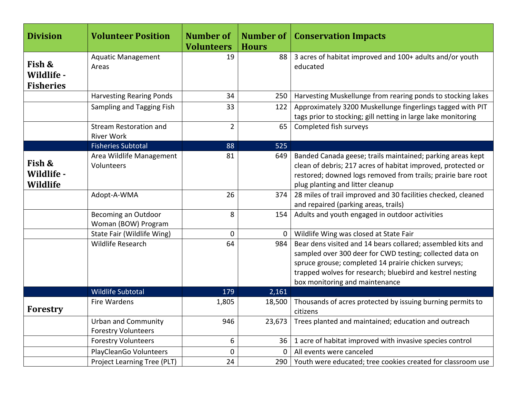| <b>Division</b>                          | <b>Volunteer Position</b>                                | <b>Number of</b><br><b>Volunteers</b> | <b>Number of</b><br><b>Hours</b> | <b>Conservation Impacts</b>                                                                                                                                                                                                                                                    |
|------------------------------------------|----------------------------------------------------------|---------------------------------------|----------------------------------|--------------------------------------------------------------------------------------------------------------------------------------------------------------------------------------------------------------------------------------------------------------------------------|
| Fish &<br>Wildlife -<br><b>Fisheries</b> | <b>Aquatic Management</b><br>Areas                       | 19                                    | 88                               | 3 acres of habitat improved and 100+ adults and/or youth<br>educated                                                                                                                                                                                                           |
|                                          | <b>Harvesting Rearing Ponds</b>                          | 34                                    | 250                              | Harvesting Muskellunge from rearing ponds to stocking lakes                                                                                                                                                                                                                    |
|                                          | Sampling and Tagging Fish                                | 33                                    | 122                              | Approximately 3200 Muskellunge fingerlings tagged with PIT<br>tags prior to stocking; gill netting in large lake monitoring                                                                                                                                                    |
|                                          | Stream Restoration and<br><b>River Work</b>              | $\overline{2}$                        | 65                               | Completed fish surveys                                                                                                                                                                                                                                                         |
|                                          | <b>Fisheries Subtotal</b>                                | 88                                    | 525                              |                                                                                                                                                                                                                                                                                |
| Fish &<br>Wildlife -<br><b>Wildlife</b>  | Area Wildlife Management<br>Volunteers                   | 81                                    | 649                              | Banded Canada geese; trails maintained; parking areas kept<br>clean of debris; 217 acres of habitat improved, protected or<br>restored; downed logs removed from trails; prairie bare root<br>plug planting and litter cleanup                                                 |
|                                          | Adopt-A-WMA                                              | 26                                    | 374                              | 28 miles of trail improved and 30 facilities checked, cleaned<br>and repaired (parking areas, trails)                                                                                                                                                                          |
|                                          | Becoming an Outdoor<br>Woman (BOW) Program               | 8                                     | 154                              | Adults and youth engaged in outdoor activities                                                                                                                                                                                                                                 |
|                                          | State Fair (Wildlife Wing)                               | 0                                     | $\mathbf{0}$                     | Wildlife Wing was closed at State Fair                                                                                                                                                                                                                                         |
|                                          | <b>Wildlife Research</b>                                 | 64                                    | 984                              | Bear dens visited and 14 bears collared; assembled kits and<br>sampled over 300 deer for CWD testing; collected data on<br>spruce grouse; completed 14 prairie chicken surveys;<br>trapped wolves for research; bluebird and kestrel nesting<br>box monitoring and maintenance |
|                                          | <b>Wildlife Subtotal</b>                                 | 179                                   | 2,161                            |                                                                                                                                                                                                                                                                                |
| <b>Forestry</b>                          | Fire Wardens                                             | 1,805                                 | 18,500                           | Thousands of acres protected by issuing burning permits to<br>citizens                                                                                                                                                                                                         |
|                                          | <b>Urban and Community</b><br><b>Forestry Volunteers</b> | 946                                   | 23,673                           | Trees planted and maintained; education and outreach                                                                                                                                                                                                                           |
|                                          | <b>Forestry Volunteers</b>                               | 6                                     | 36                               | 1 acre of habitat improved with invasive species control                                                                                                                                                                                                                       |
|                                          | PlayCleanGo Volunteers                                   | 0                                     | $\mathbf 0$                      | All events were canceled                                                                                                                                                                                                                                                       |
|                                          | Project Learning Tree (PLT)                              | 24                                    | 290                              | Youth were educated; tree cookies created for classroom use                                                                                                                                                                                                                    |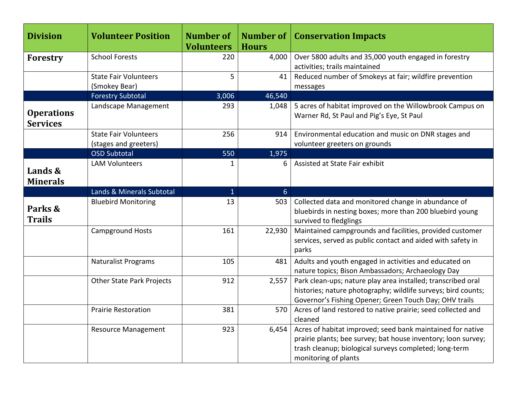| <b>Division</b>                      | <b>Volunteer Position</b>                             | <b>Number of</b><br><b>Volunteers</b> | <b>Number of</b><br><b>Hours</b> | <b>Conservation Impacts</b>                                                                                                                                                                                   |
|--------------------------------------|-------------------------------------------------------|---------------------------------------|----------------------------------|---------------------------------------------------------------------------------------------------------------------------------------------------------------------------------------------------------------|
| <b>Forestry</b>                      | <b>School Forests</b>                                 | 220                                   | 4,000                            | Over 5800 adults and 35,000 youth engaged in forestry<br>activities; trails maintained                                                                                                                        |
|                                      | <b>State Fair Volunteers</b><br>(Smokey Bear)         | 5                                     | 41                               | Reduced number of Smokeys at fair; wildfire prevention<br>messages                                                                                                                                            |
|                                      | <b>Forestry Subtotal</b>                              | 3,006                                 | 46,540                           |                                                                                                                                                                                                               |
| <b>Operations</b><br><b>Services</b> | Landscape Management                                  | 293                                   | 1,048                            | 5 acres of habitat improved on the Willowbrook Campus on<br>Warner Rd, St Paul and Pig's Eye, St Paul                                                                                                         |
|                                      | <b>State Fair Volunteers</b><br>(stages and greeters) | 256                                   | 914                              | Environmental education and music on DNR stages and<br>volunteer greeters on grounds                                                                                                                          |
|                                      | <b>OSD Subtotal</b>                                   | 550                                   | 1,975                            |                                                                                                                                                                                                               |
| Lands &<br><b>Minerals</b>           | <b>LAM Volunteers</b>                                 |                                       | 6                                | Assisted at State Fair exhibit                                                                                                                                                                                |
|                                      | Lands & Minerals Subtotal                             | $\mathbf{1}$                          | $6\overline{6}$                  |                                                                                                                                                                                                               |
| Parks &<br><b>Trails</b>             | <b>Bluebird Monitoring</b>                            | 13                                    | 503                              | Collected data and monitored change in abundance of<br>bluebirds in nesting boxes; more than 200 bluebird young<br>survived to fledglings                                                                     |
|                                      | <b>Campground Hosts</b>                               | 161                                   | 22,930                           | Maintained campgrounds and facilities, provided customer<br>services, served as public contact and aided with safety in<br>parks                                                                              |
|                                      | <b>Naturalist Programs</b>                            | 105                                   | 481                              | Adults and youth engaged in activities and educated on<br>nature topics; Bison Ambassadors; Archaeology Day                                                                                                   |
|                                      | <b>Other State Park Projects</b>                      | 912                                   | 2,557                            | Park clean-ups; nature play area installed; transcribed oral<br>histories; nature photography; wildlife surveys; bird counts;<br>Governor's Fishing Opener; Green Touch Day; OHV trails                       |
|                                      | <b>Prairie Restoration</b>                            | 381                                   | 570                              | Acres of land restored to native prairie; seed collected and<br>cleaned                                                                                                                                       |
|                                      | <b>Resource Management</b>                            | 923                                   | 6,454                            | Acres of habitat improved; seed bank maintained for native<br>prairie plants; bee survey; bat house inventory; loon survey;<br>trash cleanup; biological surveys completed; long-term<br>monitoring of plants |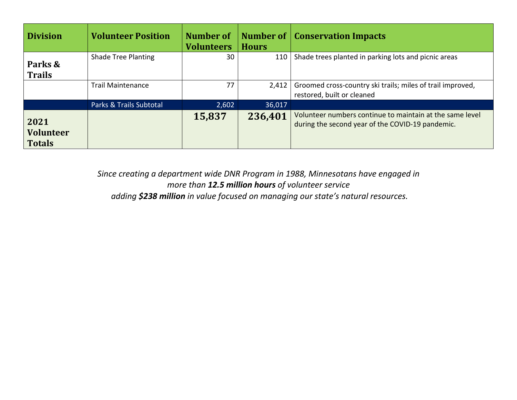| <b>Division</b>                           | <b>Volunteer Position</b>  | <b>Number of</b><br><b>Volunteers</b> | <b>Hours</b> | <b>Number of   Conservation Impacts</b>                                                                      |
|-------------------------------------------|----------------------------|---------------------------------------|--------------|--------------------------------------------------------------------------------------------------------------|
| Parks &<br><b>Trails</b>                  | <b>Shade Tree Planting</b> | 30                                    | 110          | Shade trees planted in parking lots and picnic areas                                                         |
|                                           | <b>Trail Maintenance</b>   | 77                                    | 2,412        | Groomed cross-country ski trails; miles of trail improved,<br>restored, built or cleaned                     |
|                                           | Parks & Trails Subtotal    | 2,602                                 | 36,017       |                                                                                                              |
| 2021<br><b>Volunteer</b><br><b>Totals</b> |                            | 15,837                                | 236,401      | Volunteer numbers continue to maintain at the same level<br>during the second year of the COVID-19 pandemic. |

*Since creating a department wide DNR Program in 1988, Minnesotans have engaged in more than 12.5 million hours of volunteer service adding \$238 million in value focused on managing our state's natural resources.*